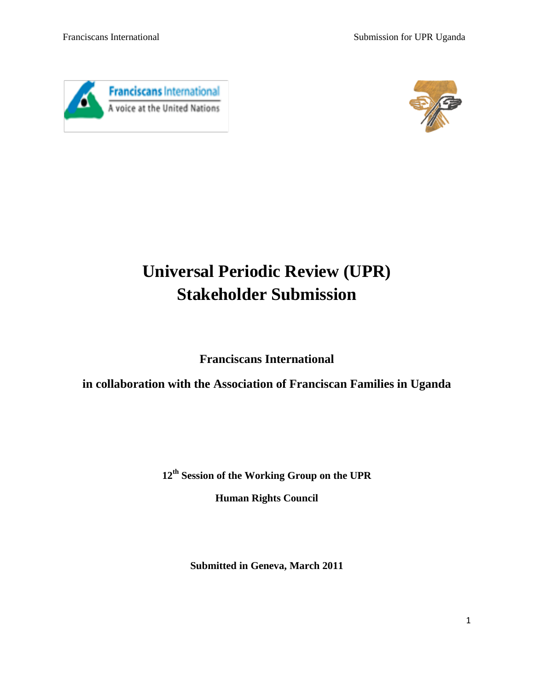



# **Universal Periodic Review (UPR) Stakeholder Submission**

**Franciscans International**

**in collaboration with the Association of Franciscan Families in Uganda**

**12th Session of the Working Group on the UPR**

**Human Rights Council**

**Submitted in Geneva, March 2011**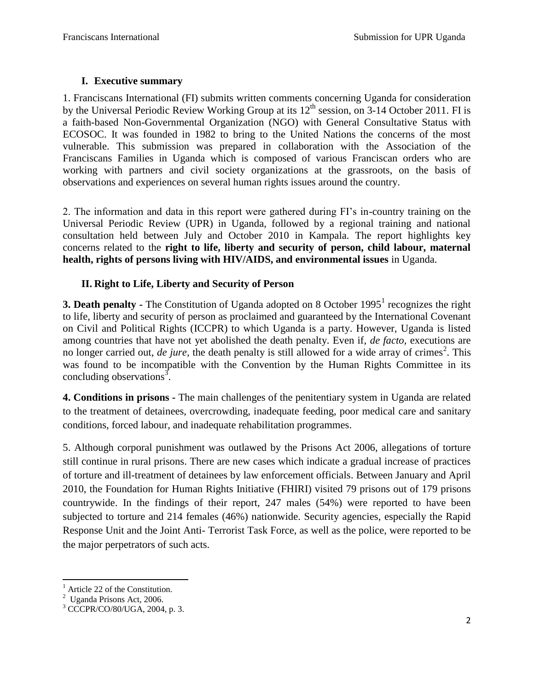## **I. Executive summary**

1. Franciscans International (FI) submits written comments concerning Uganda for consideration by the Universal Periodic Review Working Group at its  $12<sup>th</sup>$  session, on 3-14 October 2011. FI is a faith-based Non-Governmental Organization (NGO) with General Consultative Status with ECOSOC. It was founded in 1982 to bring to the United Nations the concerns of the most vulnerable. This submission was prepared in collaboration with the Association of the Franciscans Families in Uganda which is composed of various Franciscan orders who are working with partners and civil society organizations at the grassroots, on the basis of observations and experiences on several human rights issues around the country.

2. The information and data in this report were gathered during FI's in-country training on the Universal Periodic Review (UPR) in Uganda, followed by a regional training and national consultation held between July and October 2010 in Kampala. The report highlights key concerns related to the **right to life, liberty and security of person, child labour, maternal health, rights of persons living with HIV/AIDS, and environmental issues** in Uganda.

#### **II. Right to Life, Liberty and Security of Person**

**3. Death penalty -** The Constitution of Uganda adopted on 8 October 1995<sup>1</sup> recognizes the right to life, liberty and security of person as proclaimed and guaranteed by the International Covenant on Civil and Political Rights (ICCPR) to which Uganda is a party. However, Uganda is listed among countries that have not yet abolished the death penalty. Even if, *de facto,* executions are no longer carried out, *de jure*, the death penalty is still allowed for a wide array of crimes<sup>2</sup>. This was found to be incompatible with the Convention by the Human Rights Committee in its concluding observations<sup>3</sup>.

**4. Conditions in prisons -** The main challenges of the penitentiary system in Uganda are related to the treatment of detainees, overcrowding, inadequate feeding, poor medical care and sanitary conditions, forced labour, and inadequate rehabilitation programmes.

5. Although corporal punishment was outlawed by the Prisons Act 2006, allegations of torture still continue in rural prisons. There are new cases which indicate a gradual increase of practices of torture and ill-treatment of detainees by law enforcement officials. Between January and April 2010, the Foundation for Human Rights Initiative (FHIRI) visited 79 prisons out of 179 prisons countrywide. In the findings of their report, 247 males (54%) were reported to have been subjected to torture and 214 females (46%) nationwide. Security agencies, especially the Rapid Response Unit and the Joint Anti- Terrorist Task Force, as well as the police, were reported to be the major perpetrators of such acts.

 $\overline{\phantom{a}}$  $<sup>1</sup>$  Article 22 of the Constitution.</sup>

<sup>&</sup>lt;sup>2</sup> Uganda Prisons Act, 2006.

 $3$  CCCPR/CO/80/UGA, 2004, p. 3.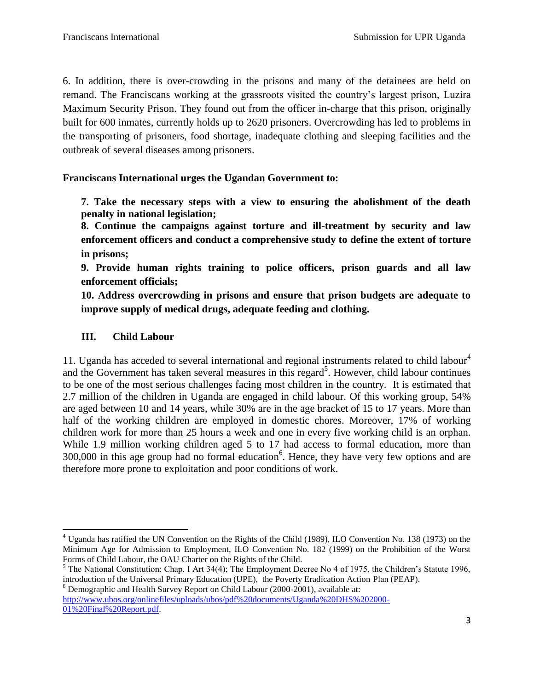6. In addition, there is over-crowding in the prisons and many of the detainees are held on remand. The Franciscans working at the grassroots visited the country's largest prison, Luzira Maximum Security Prison. They found out from the officer in-charge that this prison, originally built for 600 inmates, currently holds up to 2620 prisoners. Overcrowding has led to problems in the transporting of prisoners, food shortage, inadequate clothing and sleeping facilities and the outbreak of several diseases among prisoners.

**Franciscans International urges the Ugandan Government to:**

**7. Take the necessary steps with a view to ensuring the abolishment of the death penalty in national legislation;** 

**8. Continue the campaigns against torture and ill-treatment by security and law enforcement officers and conduct a comprehensive study to define the extent of torture in prisons;**

**9. Provide human rights training to police officers, prison guards and all law enforcement officials;**

**10. Address overcrowding in prisons and ensure that prison budgets are adequate to improve supply of medical drugs, adequate feeding and clothing.**

## **III. Child Labour**

 $\overline{a}$ 

11. Uganda has acceded to several international and regional instruments related to child labour<sup>4</sup> and the Government has taken several measures in this regard<sup>5</sup>. However, child labour continues to be one of the most serious challenges facing most children in the country. It is estimated that 2.7 million of the children in Uganda are engaged in child labour. Of this working group, 54% are aged between 10 and 14 years, while 30% are in the age bracket of 15 to 17 years. More than half of the working children are employed in domestic chores. Moreover, 17% of working children work for more than 25 hours a week and one in every five working child is an orphan. While 1.9 million working children aged 5 to 17 had access to formal education, more than  $300,000$  in this age group had no formal education<sup>6</sup>. Hence, they have very few options and are therefore more prone to exploitation and poor conditions of work.

 $<sup>5</sup>$  The National Constitution: Chap. I Art 34(4); The Employment Decree No 4 of 1975, the Children's Statute 1996,</sup> introduction of the Universal Primary Education (UPE), the Poverty Eradication Action Plan (PEAP).  $6$  Demographic and Health Survey Report on Child Labour (2000-2001), available at:

[http://www.ubos.org/onlinefiles/uploads/ubos/pdf%20documents/Uganda%20DHS%202000-](http://www.ubos.org/onlinefiles/uploads/ubos/pdf%20documents/Uganda%20DHS%202000-01%20Final%20Report.pdf) [01%20Final%20Report.pdf.](http://www.ubos.org/onlinefiles/uploads/ubos/pdf%20documents/Uganda%20DHS%202000-01%20Final%20Report.pdf)

<sup>4</sup> Uganda has ratified the UN Convention on the Rights of the Child (1989), ILO Convention No. 138 (1973) on the Minimum Age for Admission to Employment, ILO Convention No. 182 (1999) on the Prohibition of the Worst Forms of Child Labour, the OAU Charter on the Rights of the Child.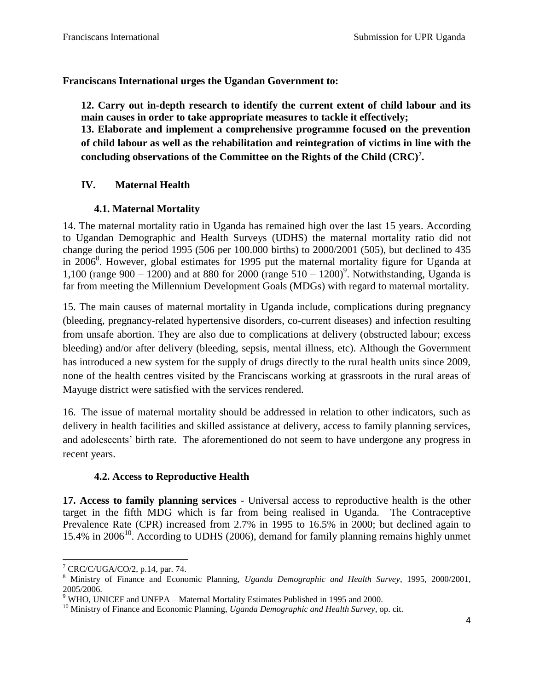**Franciscans International urges the Ugandan Government to:**

**12. Carry out in-depth research to identify the current extent of child labour and its main causes in order to take appropriate measures to tackle it effectively;**

**13. Elaborate and implement a comprehensive programme focused on the prevention of child labour as well as the rehabilitation and reintegration of victims in line with the concluding observations of the Committee on the Rights of the Child (CRC)**<sup>7</sup> **.**

## **IV. Maternal Health**

#### **4.1. Maternal Mortality**

14. The maternal mortality ratio in Uganda has remained high over the last 15 years. According to Ugandan Demographic and Health Surveys (UDHS) the maternal mortality ratio did not change during the period 1995 (506 per 100.000 births) to 2000/2001 (505), but declined to 435 in 2006<sup>8</sup>. However, global estimates for 1995 put the maternal mortality figure for Uganda at 1,100 (range 900 – 1200) and at 880 for 2000 (range  $510 - 1200$ )<sup>9</sup>. Notwithstanding, Uganda is far from meeting the Millennium Development Goals (MDGs) with regard to maternal mortality.

15. The main causes of maternal mortality in Uganda include, complications during pregnancy (bleeding, pregnancy-related hypertensive disorders, co-current diseases) and infection resulting from unsafe abortion. They are also due to complications at delivery (obstructed labour; excess bleeding) and/or after delivery (bleeding, sepsis, mental illness, etc). Although the Government has introduced a new system for the supply of drugs directly to the rural health units since 2009, none of the health centres visited by the Franciscans working at grassroots in the rural areas of Mayuge district were satisfied with the services rendered.

16. The issue of maternal mortality should be addressed in relation to other indicators, such as delivery in health facilities and skilled assistance at delivery, access to family planning services, and adolescents' birth rate. The aforementioned do not seem to have undergone any progress in recent years.

#### **4.2. Access to Reproductive Health**

**17. Access to family planning services** - Universal access to reproductive health is the other target in the fifth MDG which is far from being realised in Uganda. The Contraceptive Prevalence Rate (CPR) increased from 2.7% in 1995 to 16.5% in 2000; but declined again to 15.4% in 2006<sup>10</sup>. According to UDHS (2006), demand for family planning remains highly unmet

l  $7$  CRC/C/UGA/CO/2, p.14, par. 74.

<sup>8</sup> Ministry of Finance and Economic Planning, *Uganda Demographic and Health Survey*, 1995, 2000/2001, 2005/2006.

 $9$  WHO, UNICEF and UNFPA – Maternal Mortality Estimates Published in 1995 and 2000.

<sup>&</sup>lt;sup>10</sup> Ministry of Finance and Economic Planning, *Uganda Demographic and Health Survey*, op. cit.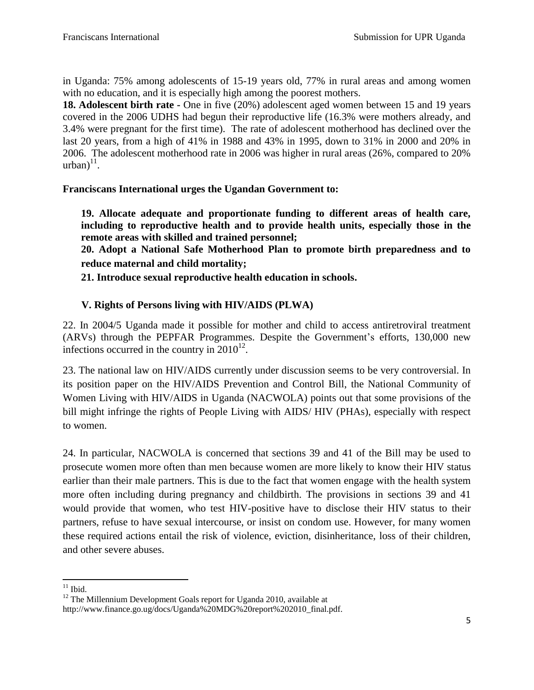in Uganda: 75% among adolescents of 15-19 years old, 77% in rural areas and among women with no education, and it is especially high among the poorest mothers.

**18. Adolescent birth rate -** One in five (20%) adolescent aged women between 15 and 19 years covered in the 2006 UDHS had begun their reproductive life (16.3% were mothers already, and 3.4% were pregnant for the first time). The rate of adolescent motherhood has declined over the last 20 years, from a high of 41% in 1988 and 43% in 1995, down to 31% in 2000 and 20% in 2006. The adolescent motherhood rate in 2006 was higher in rural areas (26%, compared to 20%  $urban)^{11}$ .

## **Franciscans International urges the Ugandan Government to:**

**19. Allocate adequate and proportionate funding to different areas of health care, including to reproductive health and to provide health units, especially those in the remote areas with skilled and trained personnel;** 

**20. Adopt a National Safe Motherhood Plan to promote birth preparedness and to reduce maternal and child mortality;**

**21. Introduce sexual reproductive health education in schools.**

## **V. Rights of Persons living with HIV/AIDS (PLWA)**

22. In 2004/5 Uganda made it possible for mother and child to access antiretroviral treatment (ARVs) through the PEPFAR Programmes. Despite the Government's efforts, 130,000 new infections occurred in the country in  $2010^{12}$ .

23. The national law on HIV/AIDS currently under discussion seems to be very controversial. In its position paper on the HIV/AIDS Prevention and Control Bill, the National Community of Women Living with HIV/AIDS in Uganda (NACWOLA) points out that some provisions of the bill might infringe the rights of People Living with AIDS/ HIV (PHAs), especially with respect to women.

24. In particular, NACWOLA is concerned that sections 39 and 41 of the Bill may be used to prosecute women more often than men because women are more likely to know their HIV status earlier than their male partners. This is due to the fact that women engage with the health system more often including during pregnancy and childbirth. The provisions in sections 39 and 41 would provide that women, who test HIV-positive have to disclose their HIV status to their partners, refuse to have sexual intercourse, or insist on condom use. However, for many women these required actions entail the risk of violence, eviction, disinheritance, loss of their children, and other severe abuses.

 $\overline{\phantom{a}}$  $11$  Ibid.

<sup>&</sup>lt;sup>12</sup> The Millennium Development Goals report for Uganda 2010, available at http://www.finance.go.ug/docs/Uganda%20MDG%20report%202010\_final.pdf.